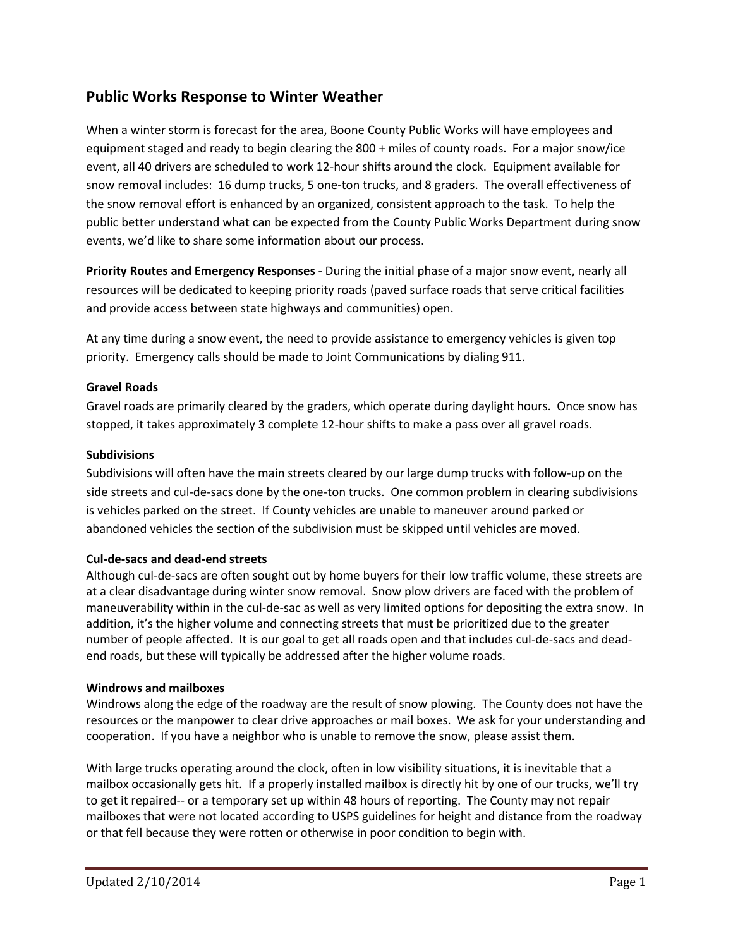# **Public Works Response to Winter Weather**

When a winter storm is forecast for the area, Boone County Public Works will have employees and equipment staged and ready to begin clearing the 800 + miles of county roads. For a major snow/ice event, all 40 drivers are scheduled to work 12-hour shifts around the clock. Equipment available for snow removal includes: 16 dump trucks, 5 one-ton trucks, and 8 graders. The overall effectiveness of the snow removal effort is enhanced by an organized, consistent approach to the task. To help the public better understand what can be expected from the County Public Works Department during snow events, we'd like to share some information about our process.

**Priority Routes and Emergency Responses** - During the initial phase of a major snow event, nearly all resources will be dedicated to keeping priority roads (paved surface roads that serve critical facilities and provide access between state highways and communities) open.

At any time during a snow event, the need to provide assistance to emergency vehicles is given top priority. Emergency calls should be made to Joint Communications by dialing 911.

### **Gravel Roads**

Gravel roads are primarily cleared by the graders, which operate during daylight hours. Once snow has stopped, it takes approximately 3 complete 12-hour shifts to make a pass over all gravel roads.

### **Subdivisions**

Subdivisions will often have the main streets cleared by our large dump trucks with follow-up on the side streets and cul-de-sacs done by the one-ton trucks. One common problem in clearing subdivisions is vehicles parked on the street. If County vehicles are unable to maneuver around parked or abandoned vehicles the section of the subdivision must be skipped until vehicles are moved.

# **Cul-de-sacs and dead-end streets**

Although cul-de-sacs are often sought out by home buyers for their low traffic volume, these streets are at a clear disadvantage during winter snow removal. Snow plow drivers are faced with the problem of maneuverability within in the cul-de-sac as well as very limited options for depositing the extra snow. In addition, it's the higher volume and connecting streets that must be prioritized due to the greater number of people affected. It is our goal to get all roads open and that includes cul-de-sacs and deadend roads, but these will typically be addressed after the higher volume roads.

# **Windrows and mailboxes**

Windrows along the edge of the roadway are the result of snow plowing. The County does not have the resources or the manpower to clear drive approaches or mail boxes. We ask for your understanding and cooperation. If you have a neighbor who is unable to remove the snow, please assist them.

With large trucks operating around the clock, often in low visibility situations, it is inevitable that a mailbox occasionally gets hit. If a properly installed mailbox is directly hit by one of our trucks, we'll try to get it repaired-- or a temporary set up within 48 hours of reporting. The County may not repair mailboxes that were not located according to USPS guidelines for height and distance from the roadway or that fell because they were rotten or otherwise in poor condition to begin with.